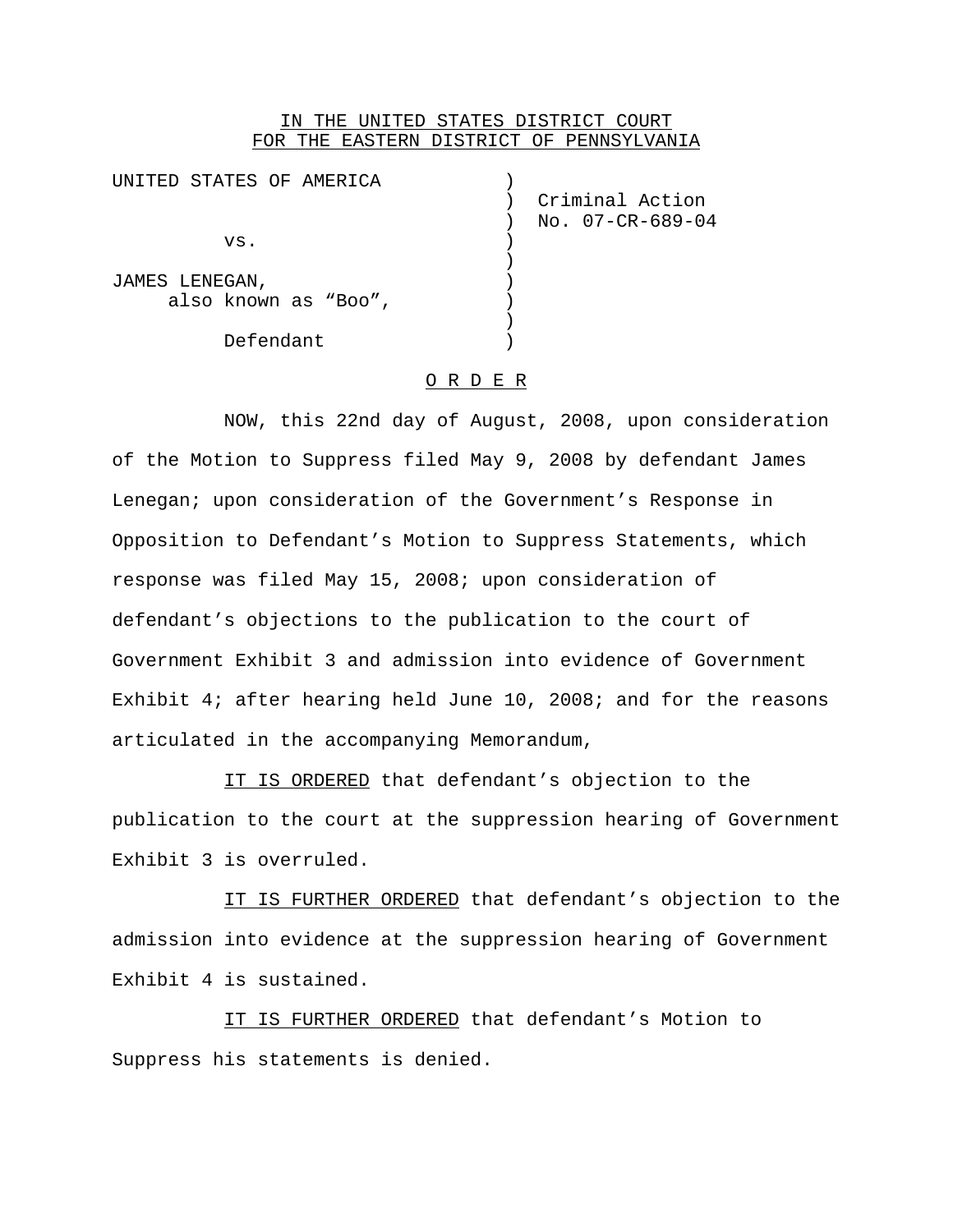# IN THE UNITED STATES DISTRICT COURT FOR THE EASTERN DISTRICT OF PENNSYLVANIA

| UNITED STATES OF AMERICA |                  |
|--------------------------|------------------|
|                          | Criminal Action  |
|                          | No. 07-CR-689-04 |
| VS.                      |                  |
|                          |                  |
| JAMES LENEGAN,           |                  |
| also known as "Boo",     |                  |
|                          |                  |
| Defendant                |                  |

#### O R D E R

NOW, this 22nd day of August, 2008, upon consideration of the Motion to Suppress filed May 9, 2008 by defendant James Lenegan; upon consideration of the Government's Response in Opposition to Defendant's Motion to Suppress Statements, which response was filed May 15, 2008; upon consideration of defendant's objections to the publication to the court of Government Exhibit 3 and admission into evidence of Government Exhibit 4; after hearing held June 10, 2008; and for the reasons articulated in the accompanying Memorandum,

IT IS ORDERED that defendant's objection to the publication to the court at the suppression hearing of Government Exhibit 3 is overruled.

IT IS FURTHER ORDERED that defendant's objection to the admission into evidence at the suppression hearing of Government Exhibit 4 is sustained.

IT IS FURTHER ORDERED that defendant's Motion to Suppress his statements is denied.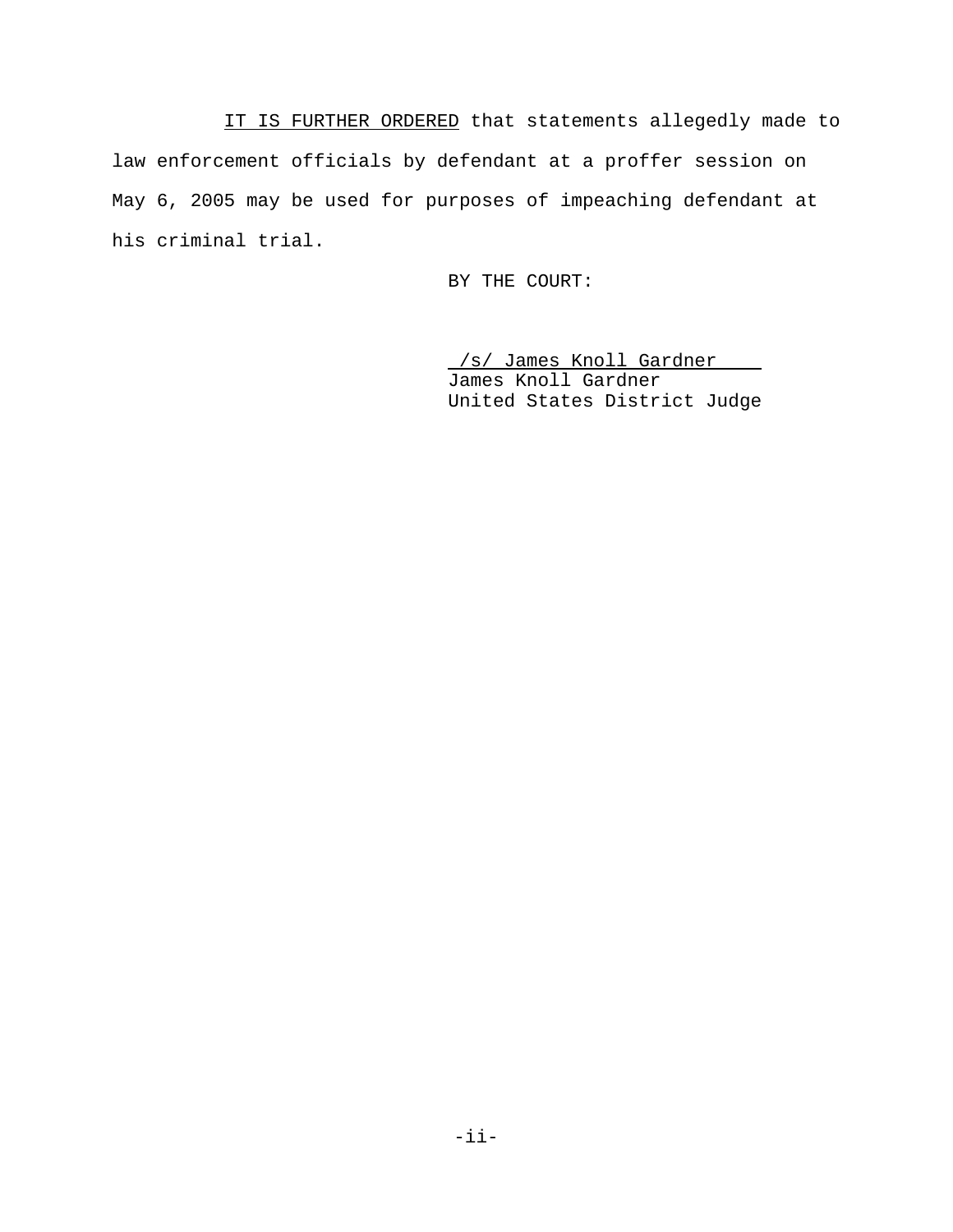IT IS FURTHER ORDERED that statements allegedly made to law enforcement officials by defendant at a proffer session on May 6, 2005 may be used for purposes of impeaching defendant at his criminal trial.

BY THE COURT:

/s/ James Knoll Gardner James Knoll Gardner United States District Judge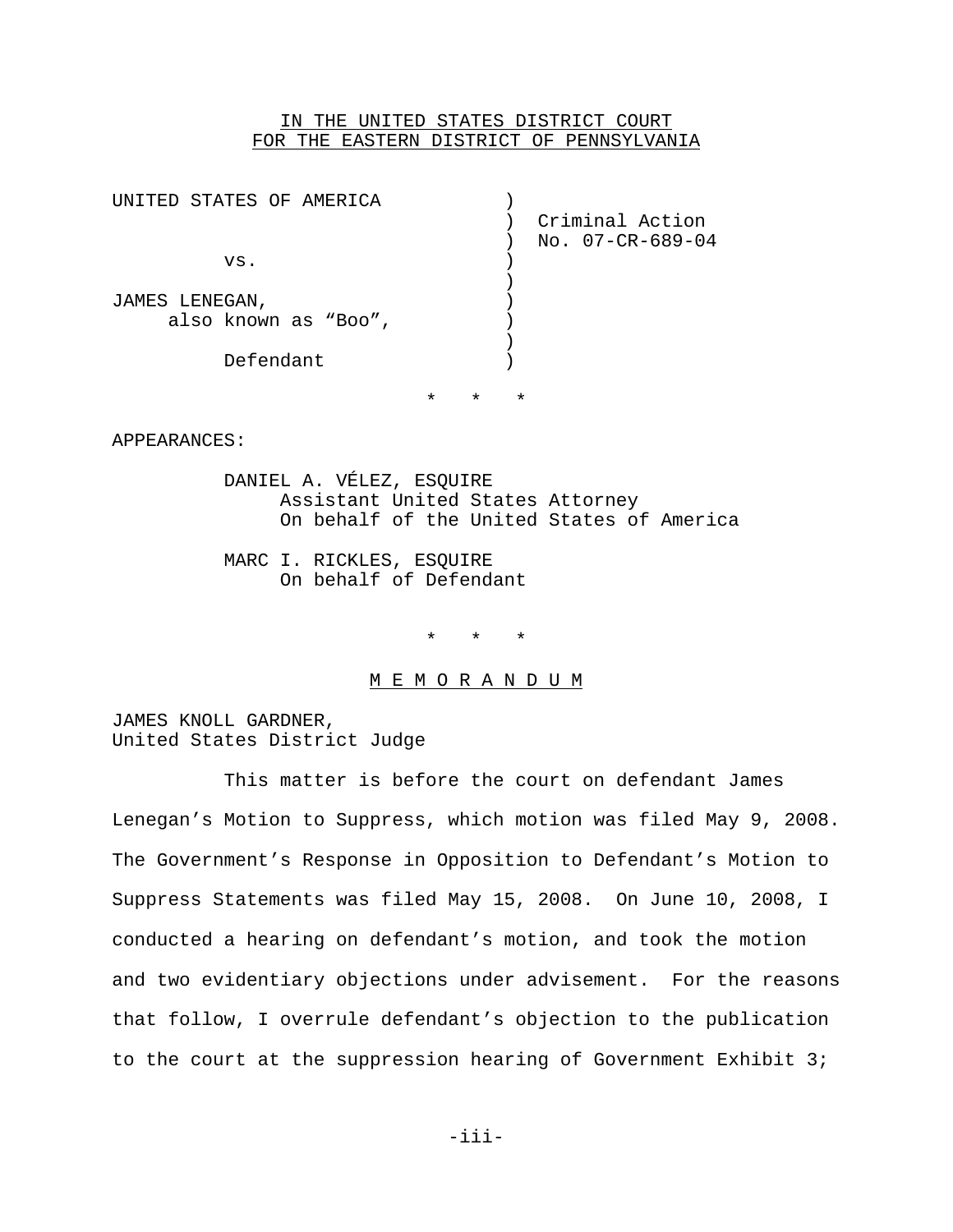# IN THE UNITED STATES DISTRICT COURT FOR THE EASTERN DISTRICT OF PENNSYLVANIA

| UNITED STATES OF AMERICA |                  |
|--------------------------|------------------|
|                          | Criminal Action  |
|                          | No. 07-CR-689-04 |
| VS.                      |                  |
|                          |                  |
| JAMES LENEGAN,           |                  |
| also known as "Boo",     |                  |
|                          |                  |
| Defendant                |                  |
|                          |                  |
|                          |                  |

\* \* \*

APPEARANCES:

DANIEL A. VÉLEZ, ESQUIRE Assistant United States Attorney On behalf of the United States of America

MARC I. RICKLES, ESQUIRE On behalf of Defendant

\* \* \*

#### M E M O R A N D U M

JAMES KNOLL GARDNER, United States District Judge

This matter is before the court on defendant James Lenegan's Motion to Suppress, which motion was filed May 9, 2008. The Government's Response in Opposition to Defendant's Motion to Suppress Statements was filed May 15, 2008. On June 10, 2008, I conducted a hearing on defendant's motion, and took the motion and two evidentiary objections under advisement. For the reasons that follow, I overrule defendant's objection to the publication to the court at the suppression hearing of Government Exhibit 3;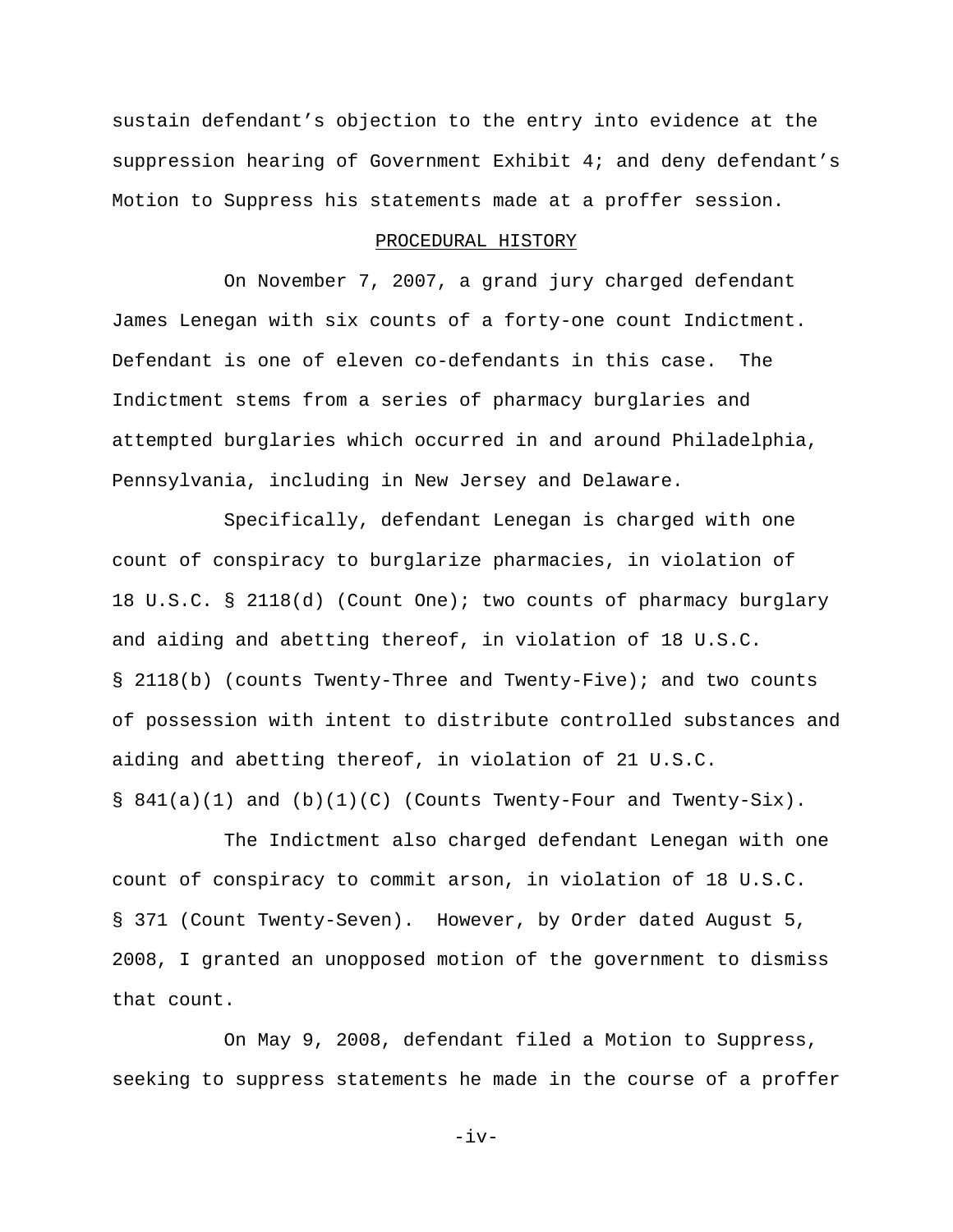sustain defendant's objection to the entry into evidence at the suppression hearing of Government Exhibit 4; and deny defendant's Motion to Suppress his statements made at a proffer session.

### PROCEDURAL HISTORY

On November 7, 2007, a grand jury charged defendant James Lenegan with six counts of a forty-one count Indictment. Defendant is one of eleven co-defendants in this case. The Indictment stems from a series of pharmacy burglaries and attempted burglaries which occurred in and around Philadelphia, Pennsylvania, including in New Jersey and Delaware.

Specifically, defendant Lenegan is charged with one count of conspiracy to burglarize pharmacies, in violation of 18 U.S.C. § 2118(d) (Count One); two counts of pharmacy burglary and aiding and abetting thereof, in violation of 18 U.S.C. § 2118(b) (counts Twenty-Three and Twenty-Five); and two counts of possession with intent to distribute controlled substances and aiding and abetting thereof, in violation of 21 U.S.C.  $\S$  841(a)(1) and (b)(1)(C) (Counts Twenty-Four and Twenty-Six).

The Indictment also charged defendant Lenegan with one count of conspiracy to commit arson, in violation of 18 U.S.C. § 371 (Count Twenty-Seven). However, by Order dated August 5, 2008, I granted an unopposed motion of the government to dismiss that count.

On May 9, 2008, defendant filed a Motion to Suppress, seeking to suppress statements he made in the course of a proffer

 $-iv-$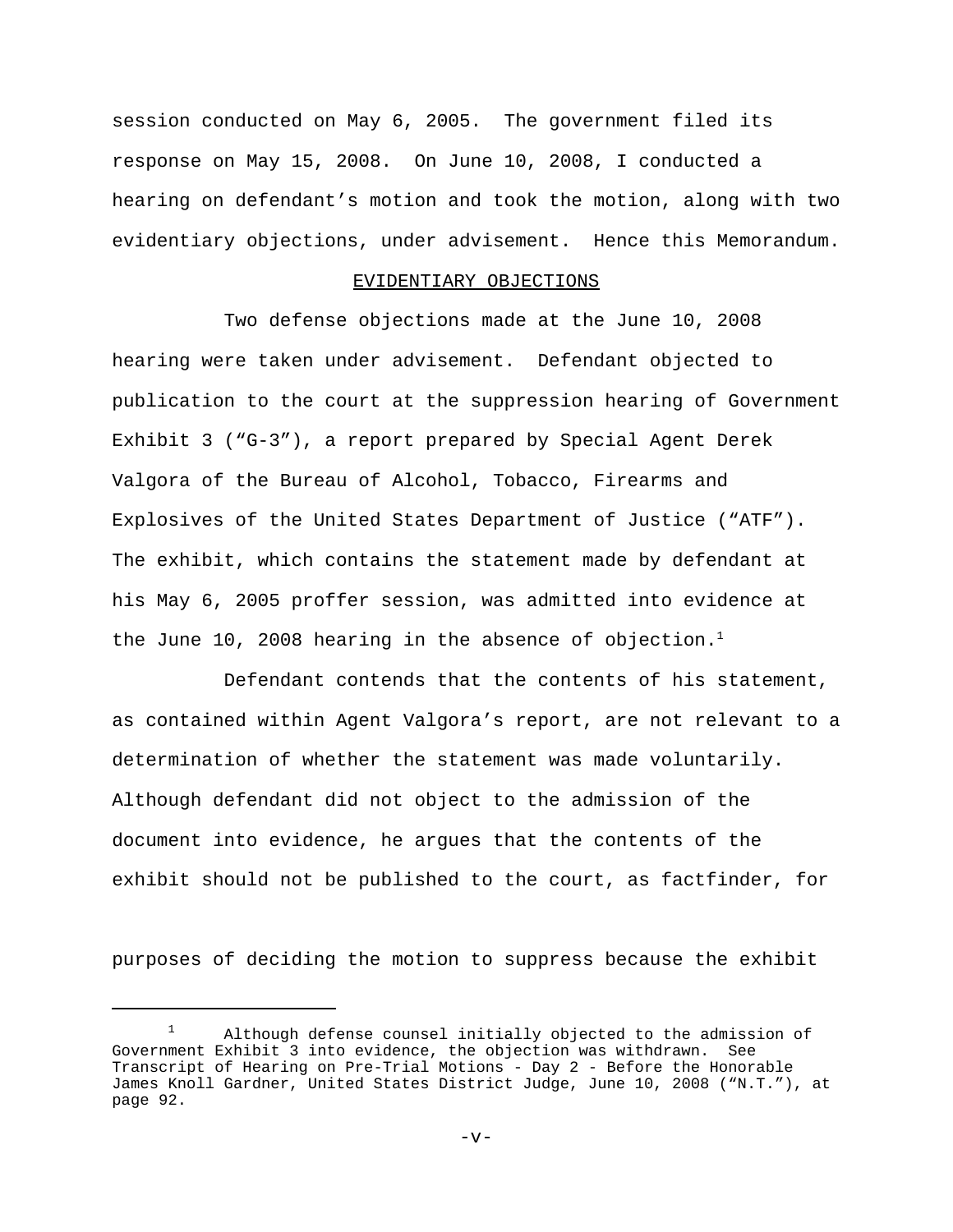session conducted on May 6, 2005. The government filed its response on May 15, 2008. On June 10, 2008, I conducted a hearing on defendant's motion and took the motion, along with two evidentiary objections, under advisement. Hence this Memorandum.

## EVIDENTIARY OBJECTIONS

Two defense objections made at the June 10, 2008 hearing were taken under advisement. Defendant objected to publication to the court at the suppression hearing of Government Exhibit 3 ("G-3"), a report prepared by Special Agent Derek Valgora of the Bureau of Alcohol, Tobacco, Firearms and Explosives of the United States Department of Justice ("ATF"). The exhibit, which contains the statement made by defendant at his May 6, 2005 proffer session, was admitted into evidence at the June 10, 2008 hearing in the absence of objection.<sup>1</sup>

Defendant contends that the contents of his statement, as contained within Agent Valgora's report, are not relevant to a determination of whether the statement was made voluntarily. Although defendant did not object to the admission of the document into evidence, he argues that the contents of the exhibit should not be published to the court, as factfinder, for

purposes of deciding the motion to suppress because the exhibit

 $1$  Although defense counsel initially objected to the admission of Government Exhibit 3 into evidence, the objection was withdrawn. See Transcript of Hearing on Pre-Trial Motions - Day 2 - Before the Honorable James Knoll Gardner, United States District Judge, June 10, 2008 ("N.T."), at page 92.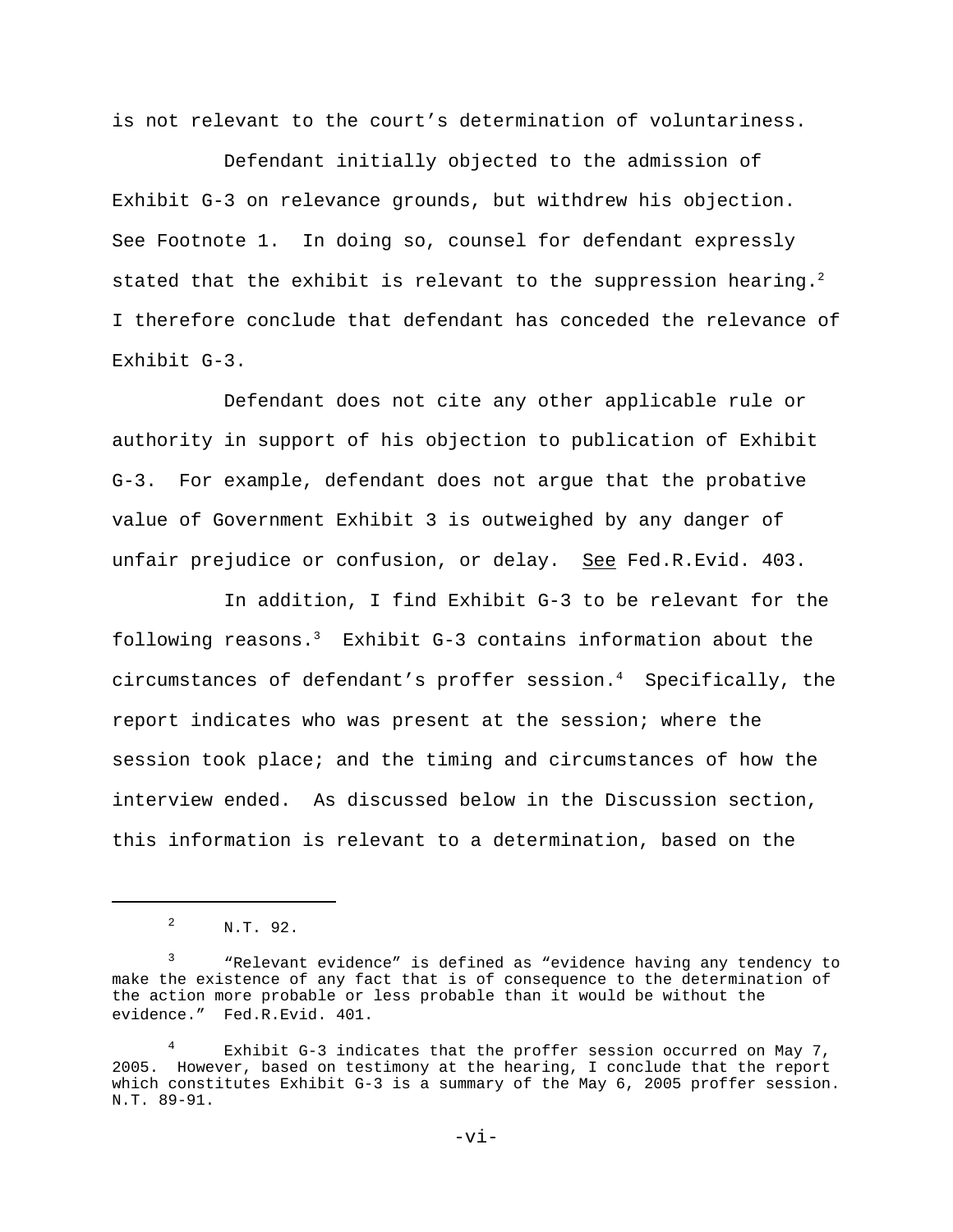is not relevant to the court's determination of voluntariness.

Defendant initially objected to the admission of Exhibit G-3 on relevance grounds, but withdrew his objection. See Footnote 1. In doing so, counsel for defendant expressly stated that the exhibit is relevant to the suppression hearing.<sup>2</sup> I therefore conclude that defendant has conceded the relevance of Exhibit G-3.

Defendant does not cite any other applicable rule or authority in support of his objection to publication of Exhibit G-3. For example, defendant does not argue that the probative value of Government Exhibit 3 is outweighed by any danger of unfair prejudice or confusion, or delay. See Fed.R.Evid. 403.

In addition, I find Exhibit G-3 to be relevant for the following reasons.3 Exhibit G-3 contains information about the circumstances of defendant's proffer session.4 Specifically, the report indicates who was present at the session; where the session took place; and the timing and circumstances of how the interview ended. As discussed below in the Discussion section, this information is relevant to a determination, based on the

<sup>&</sup>lt;sup>2</sup> N.T. 92.

<sup>&</sup>lt;sup>3</sup> "Relevant evidence" is defined as "evidence having any tendency to make the existence of any fact that is of consequence to the determination of the action more probable or less probable than it would be without the evidence." Fed.R.Evid. 401.

<sup>4</sup> Exhibit G-3 indicates that the proffer session occurred on May 7, 2005. However, based on testimony at the hearing, I conclude that the report which constitutes Exhibit G-3 is a summary of the May 6, 2005 proffer session. N.T. 89-91.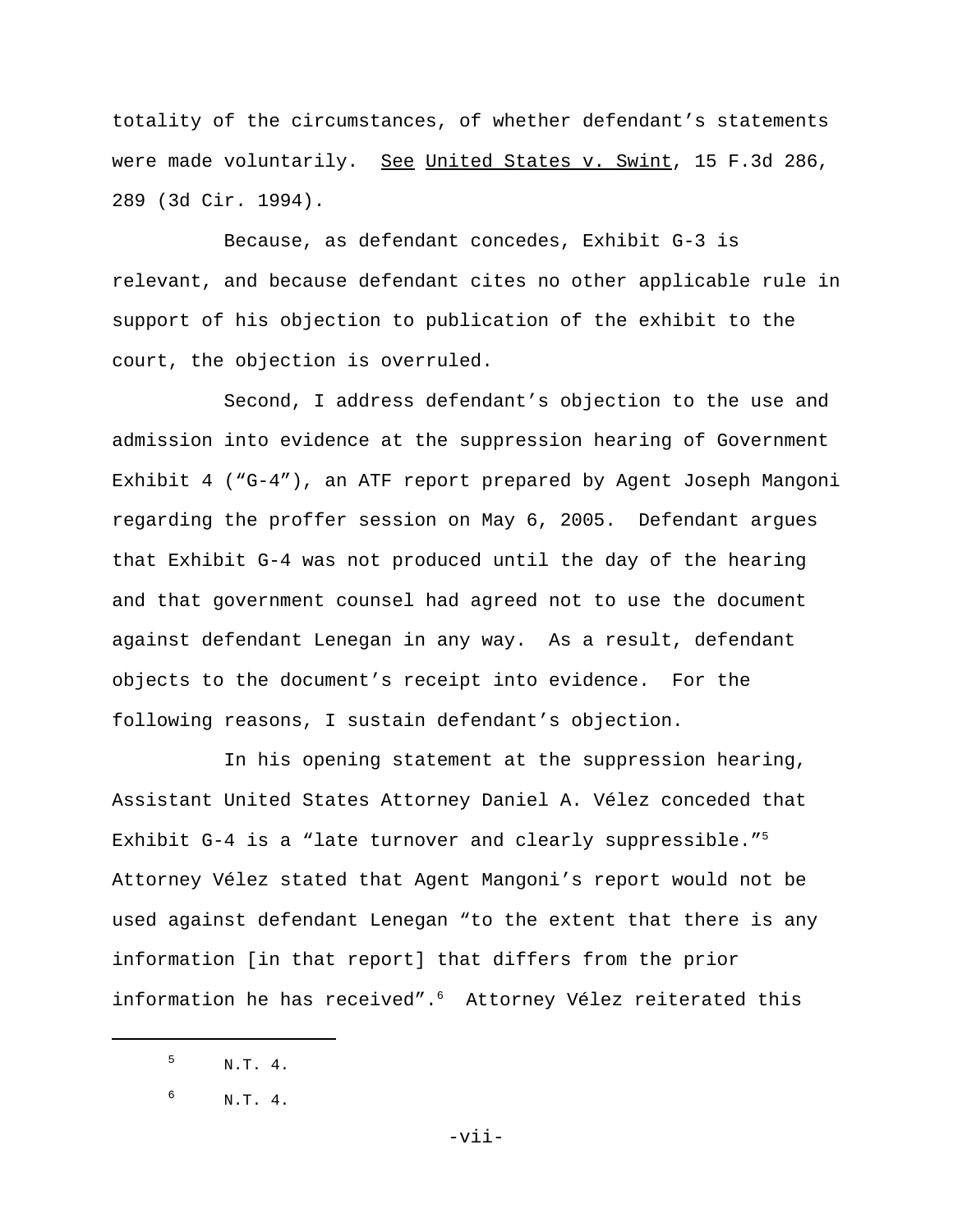totality of the circumstances, of whether defendant's statements were made voluntarily. See United States v. Swint, 15 F.3d 286, 289 (3d Cir. 1994).

Because, as defendant concedes, Exhibit G-3 is relevant, and because defendant cites no other applicable rule in support of his objection to publication of the exhibit to the court, the objection is overruled.

Second, I address defendant's objection to the use and admission into evidence at the suppression hearing of Government Exhibit 4 ("G-4"), an ATF report prepared by Agent Joseph Mangoni regarding the proffer session on May 6, 2005. Defendant argues that Exhibit G-4 was not produced until the day of the hearing and that government counsel had agreed not to use the document against defendant Lenegan in any way. As a result, defendant objects to the document's receipt into evidence. For the following reasons, I sustain defendant's objection.

In his opening statement at the suppression hearing, Assistant United States Attorney Daniel A. Vélez conceded that Exhibit G-4 is a "late turnover and clearly suppressible."<sup>5</sup> Attorney Vélez stated that Agent Mangoni's report would not be used against defendant Lenegan "to the extent that there is any information [in that report] that differs from the prior information he has received".<sup>6</sup> Attorney Vélez reiterated this

 $5 \t N.T. 4.$ 

 $^{6}$  N.T. 4.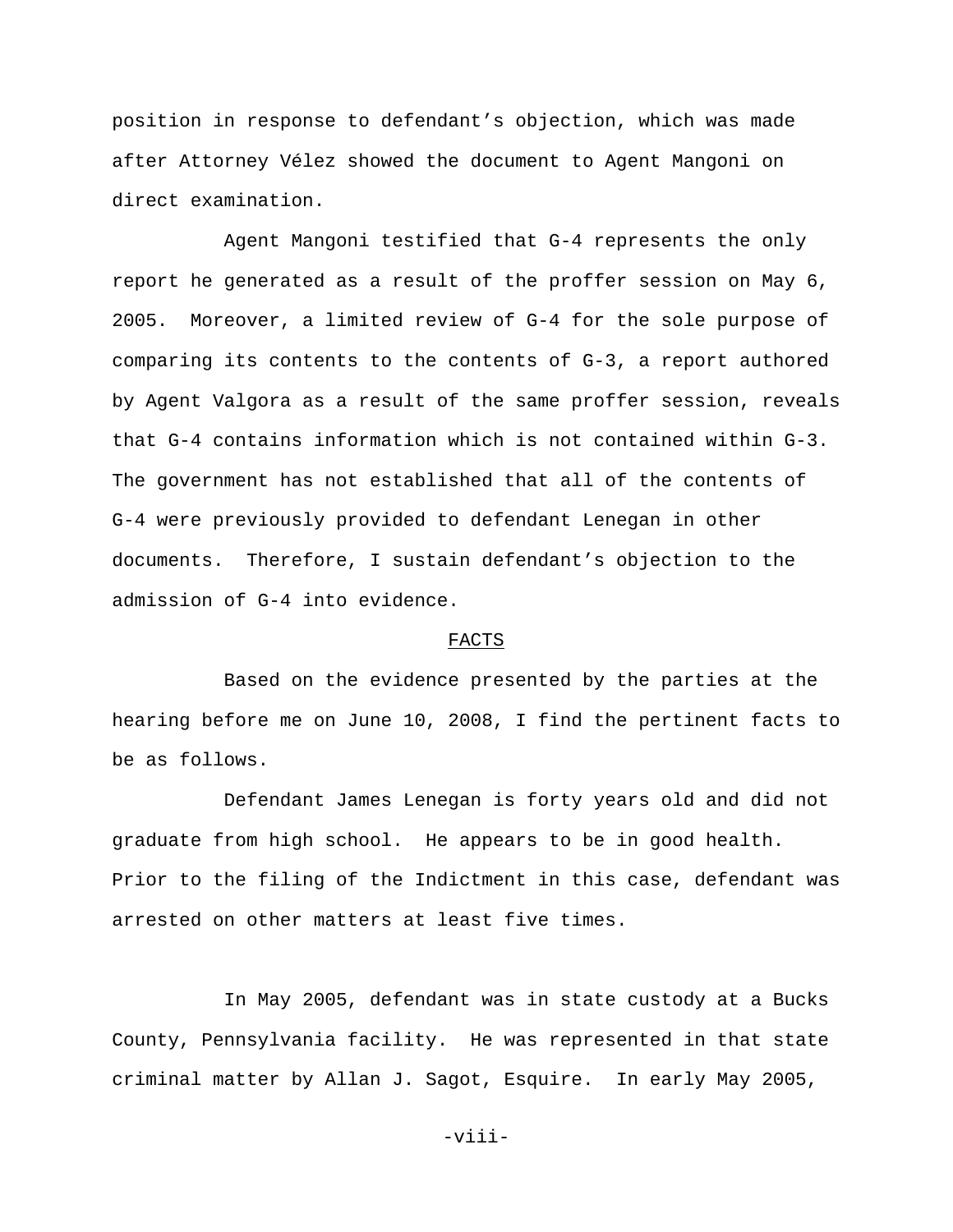position in response to defendant's objection, which was made after Attorney Vélez showed the document to Agent Mangoni on direct examination.

Agent Mangoni testified that G-4 represents the only report he generated as a result of the proffer session on May 6, 2005. Moreover, a limited review of G-4 for the sole purpose of comparing its contents to the contents of G-3, a report authored by Agent Valgora as a result of the same proffer session, reveals that G-4 contains information which is not contained within G-3. The government has not established that all of the contents of G-4 were previously provided to defendant Lenegan in other documents. Therefore, I sustain defendant's objection to the admission of G-4 into evidence.

## FACTS

Based on the evidence presented by the parties at the hearing before me on June 10, 2008, I find the pertinent facts to be as follows.

Defendant James Lenegan is forty years old and did not graduate from high school. He appears to be in good health. Prior to the filing of the Indictment in this case, defendant was arrested on other matters at least five times.

In May 2005, defendant was in state custody at a Bucks County, Pennsylvania facility. He was represented in that state criminal matter by Allan J. Sagot, Esquire. In early May 2005,

-viii-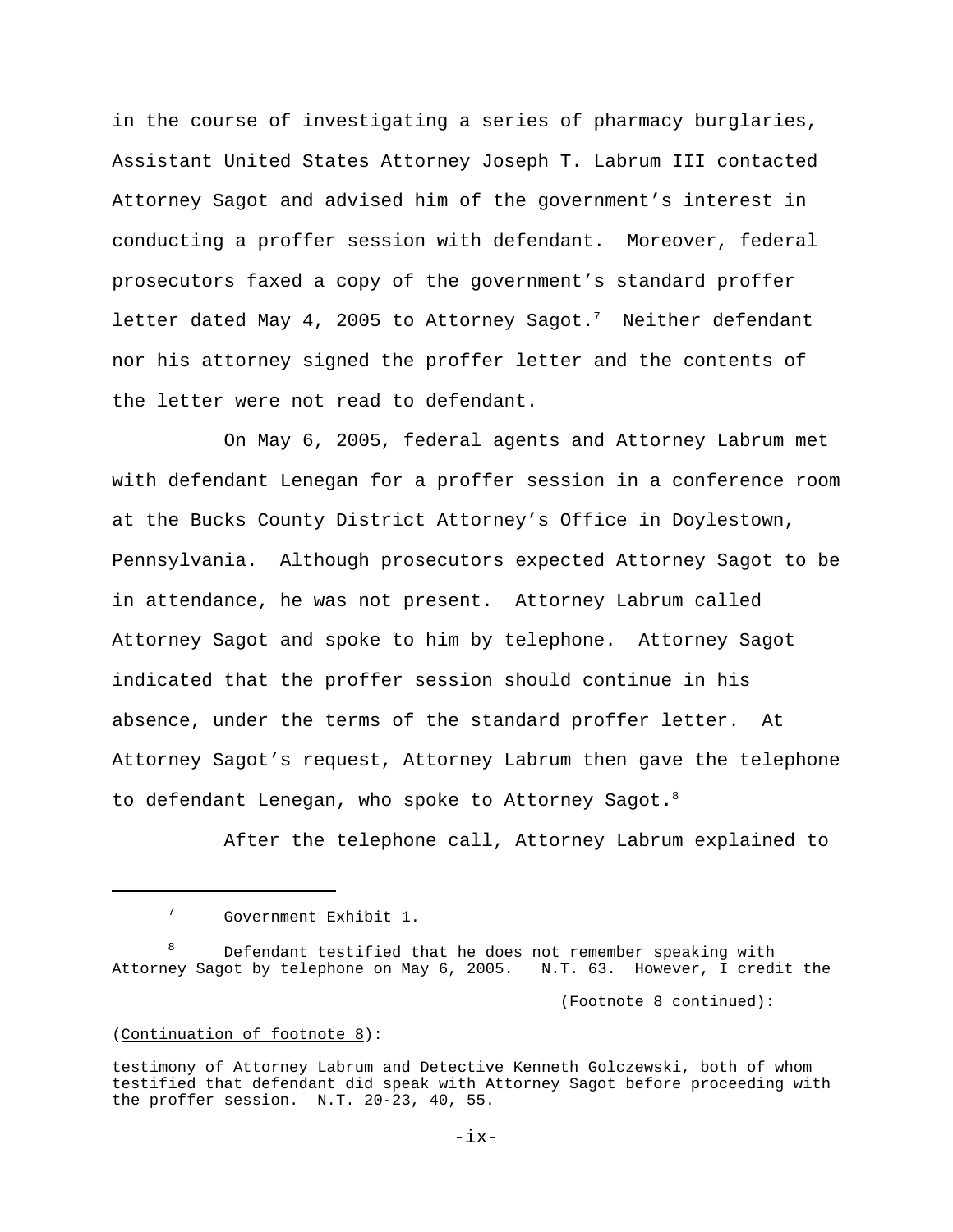in the course of investigating a series of pharmacy burglaries, Assistant United States Attorney Joseph T. Labrum III contacted Attorney Sagot and advised him of the government's interest in conducting a proffer session with defendant. Moreover, federal prosecutors faxed a copy of the government's standard proffer letter dated May 4, 2005 to Attorney Sagot.<sup>7</sup> Neither defendant nor his attorney signed the proffer letter and the contents of the letter were not read to defendant.

On May 6, 2005, federal agents and Attorney Labrum met with defendant Lenegan for a proffer session in a conference room at the Bucks County District Attorney's Office in Doylestown, Pennsylvania. Although prosecutors expected Attorney Sagot to be in attendance, he was not present. Attorney Labrum called Attorney Sagot and spoke to him by telephone. Attorney Sagot indicated that the proffer session should continue in his absence, under the terms of the standard proffer letter. At Attorney Sagot's request, Attorney Labrum then gave the telephone to defendant Lenegan, who spoke to Attorney Sagot.<sup>8</sup>

After the telephone call, Attorney Labrum explained to

(Footnote 8 continued):

### (Continuation of footnote 8):

<sup>7</sup> Government Exhibit 1.

Defendant testified that he does not remember speaking with Attorney Sagot by telephone on May 6, 2005. N.T. 63. However, I credit the

testimony of Attorney Labrum and Detective Kenneth Golczewski, both of whom testified that defendant did speak with Attorney Sagot before proceeding with the proffer session. N.T. 20-23, 40, 55.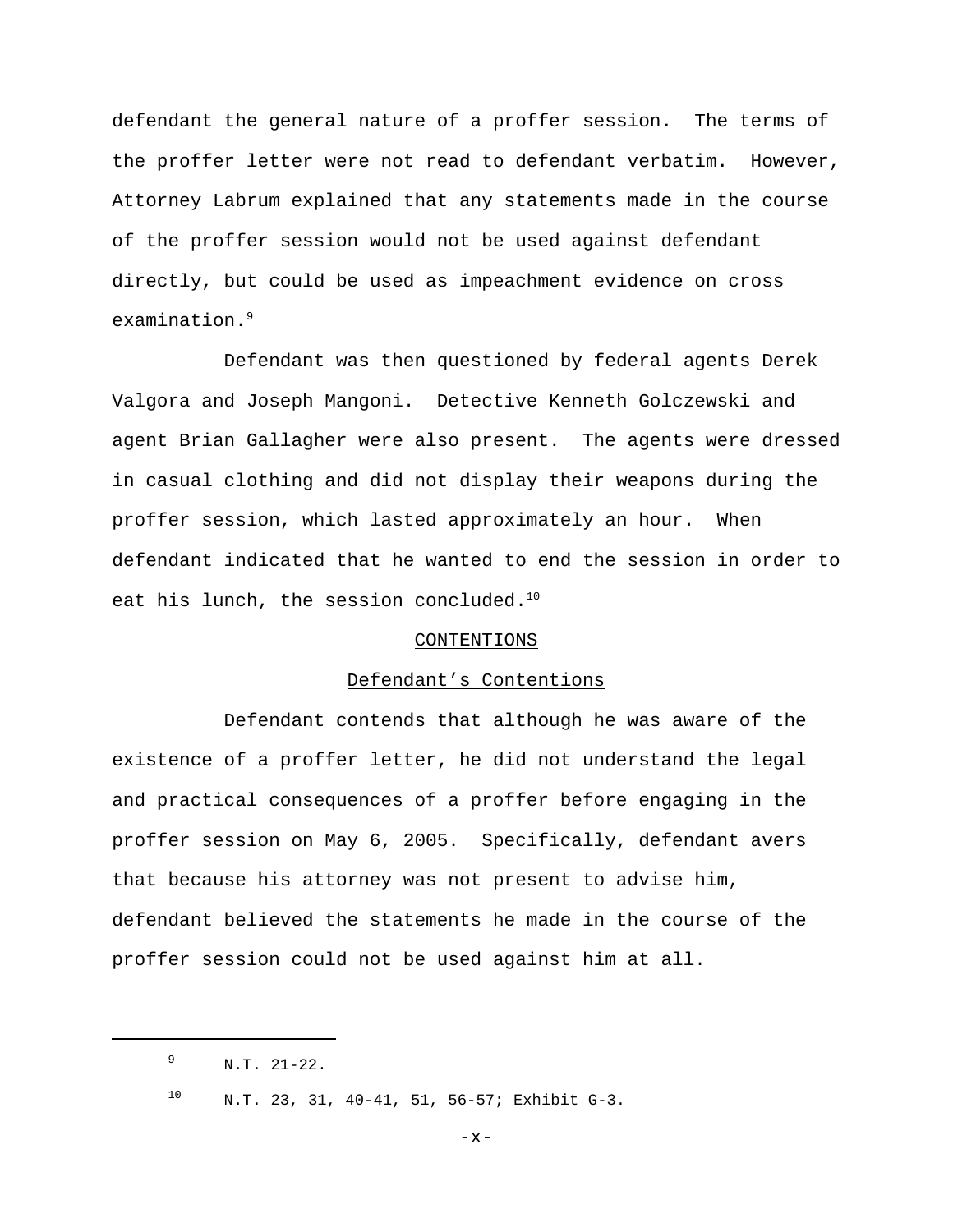defendant the general nature of a proffer session. The terms of the proffer letter were not read to defendant verbatim. However, Attorney Labrum explained that any statements made in the course of the proffer session would not be used against defendant directly, but could be used as impeachment evidence on cross examination.<sup>9</sup>

Defendant was then questioned by federal agents Derek Valgora and Joseph Mangoni. Detective Kenneth Golczewski and agent Brian Gallagher were also present. The agents were dressed in casual clothing and did not display their weapons during the proffer session, which lasted approximately an hour. When defendant indicated that he wanted to end the session in order to eat his lunch, the session concluded.<sup>10</sup>

### CONTENTIONS

#### Defendant's Contentions

Defendant contends that although he was aware of the existence of a proffer letter, he did not understand the legal and practical consequences of a proffer before engaging in the proffer session on May 6, 2005. Specifically, defendant avers that because his attorney was not present to advise him, defendant believed the statements he made in the course of the proffer session could not be used against him at all.

-x-

 $9$  N.T. 21-22.

<sup>10</sup> N.T. 23, 31, 40-41, 51, 56-57; Exhibit G-3.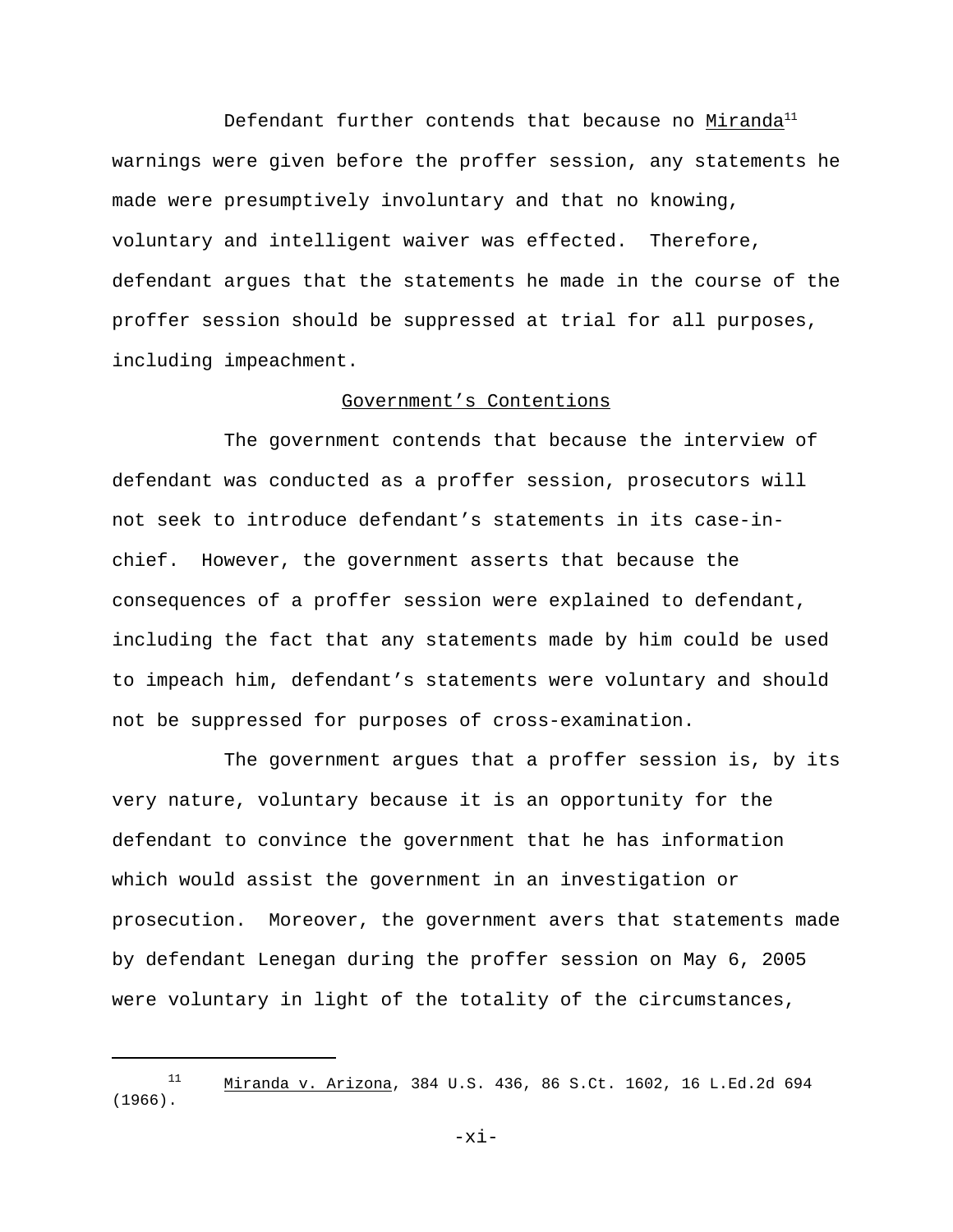Defendant further contends that because no Miranda $^{11}$ warnings were given before the proffer session, any statements he made were presumptively involuntary and that no knowing, voluntary and intelligent waiver was effected. Therefore, defendant argues that the statements he made in the course of the proffer session should be suppressed at trial for all purposes, including impeachment.

## Government's Contentions

The government contends that because the interview of defendant was conducted as a proffer session, prosecutors will not seek to introduce defendant's statements in its case-inchief. However, the government asserts that because the consequences of a proffer session were explained to defendant, including the fact that any statements made by him could be used to impeach him, defendant's statements were voluntary and should not be suppressed for purposes of cross-examination.

The government argues that a proffer session is, by its very nature, voluntary because it is an opportunity for the defendant to convince the government that he has information which would assist the government in an investigation or prosecution. Moreover, the government avers that statements made by defendant Lenegan during the proffer session on May 6, 2005 were voluntary in light of the totality of the circumstances,

-xi-

<sup>11</sup> Miranda v. Arizona, 384 U.S. 436, 86 S.Ct. 1602, 16 L.Ed.2d 694 (1966).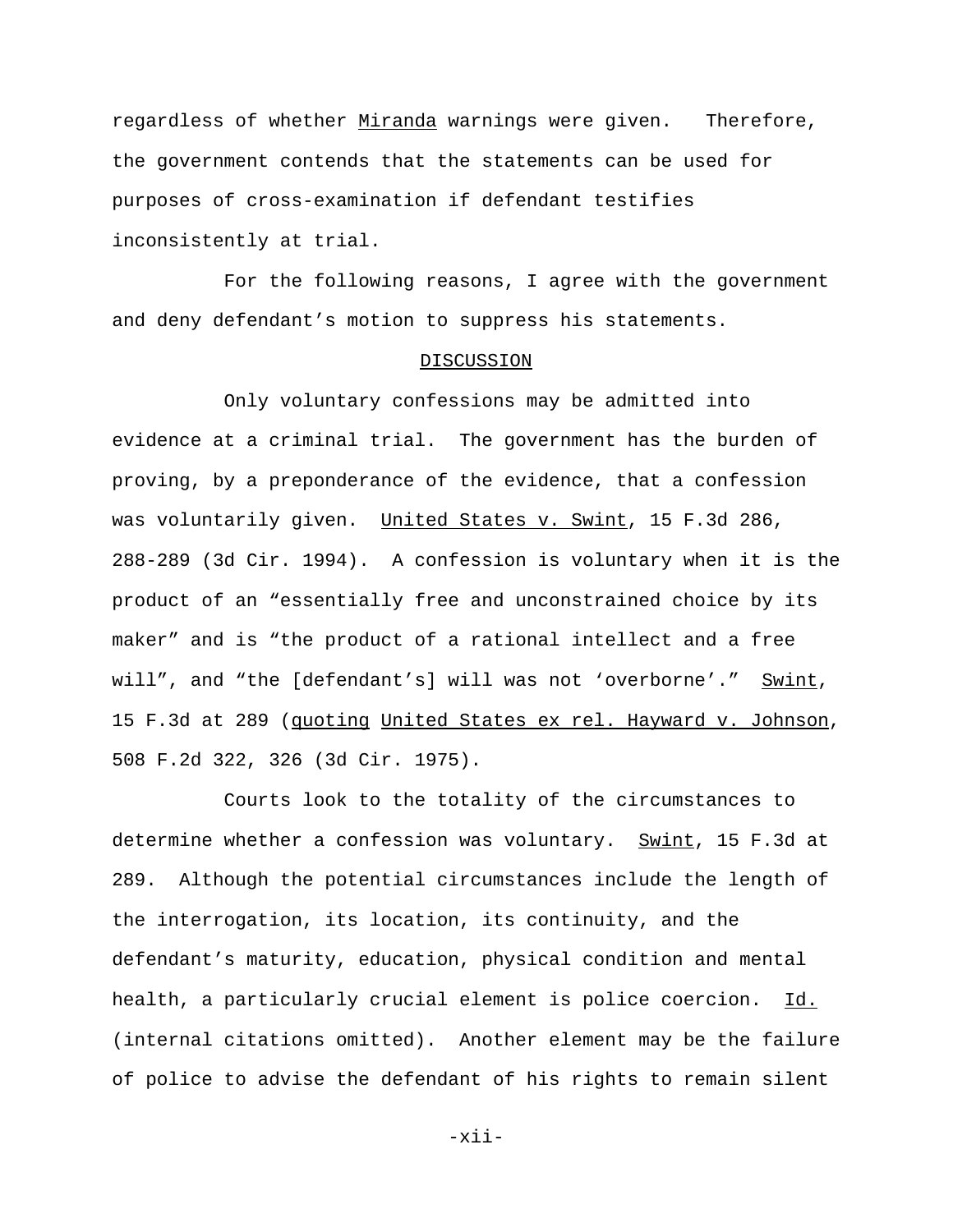regardless of whether Miranda warnings were given. Therefore, the government contends that the statements can be used for purposes of cross-examination if defendant testifies inconsistently at trial.

For the following reasons, I agree with the government and deny defendant's motion to suppress his statements.

### DISCUSSION

Only voluntary confessions may be admitted into evidence at a criminal trial. The government has the burden of proving, by a preponderance of the evidence, that a confession was voluntarily given. United States v. Swint, 15 F.3d 286, 288-289 (3d Cir. 1994). A confession is voluntary when it is the product of an "essentially free and unconstrained choice by its maker" and is "the product of a rational intellect and a free will", and "the [defendant's] will was not 'overborne'." Swint, 15 F.3d at 289 (quoting United States ex rel. Hayward v. Johnson, 508 F.2d 322, 326 (3d Cir. 1975).

Courts look to the totality of the circumstances to determine whether a confession was voluntary. Swint, 15 F.3d at 289. Although the potential circumstances include the length of the interrogation, its location, its continuity, and the defendant's maturity, education, physical condition and mental health, a particularly crucial element is police coercion. Id. (internal citations omitted). Another element may be the failure of police to advise the defendant of his rights to remain silent

-xii-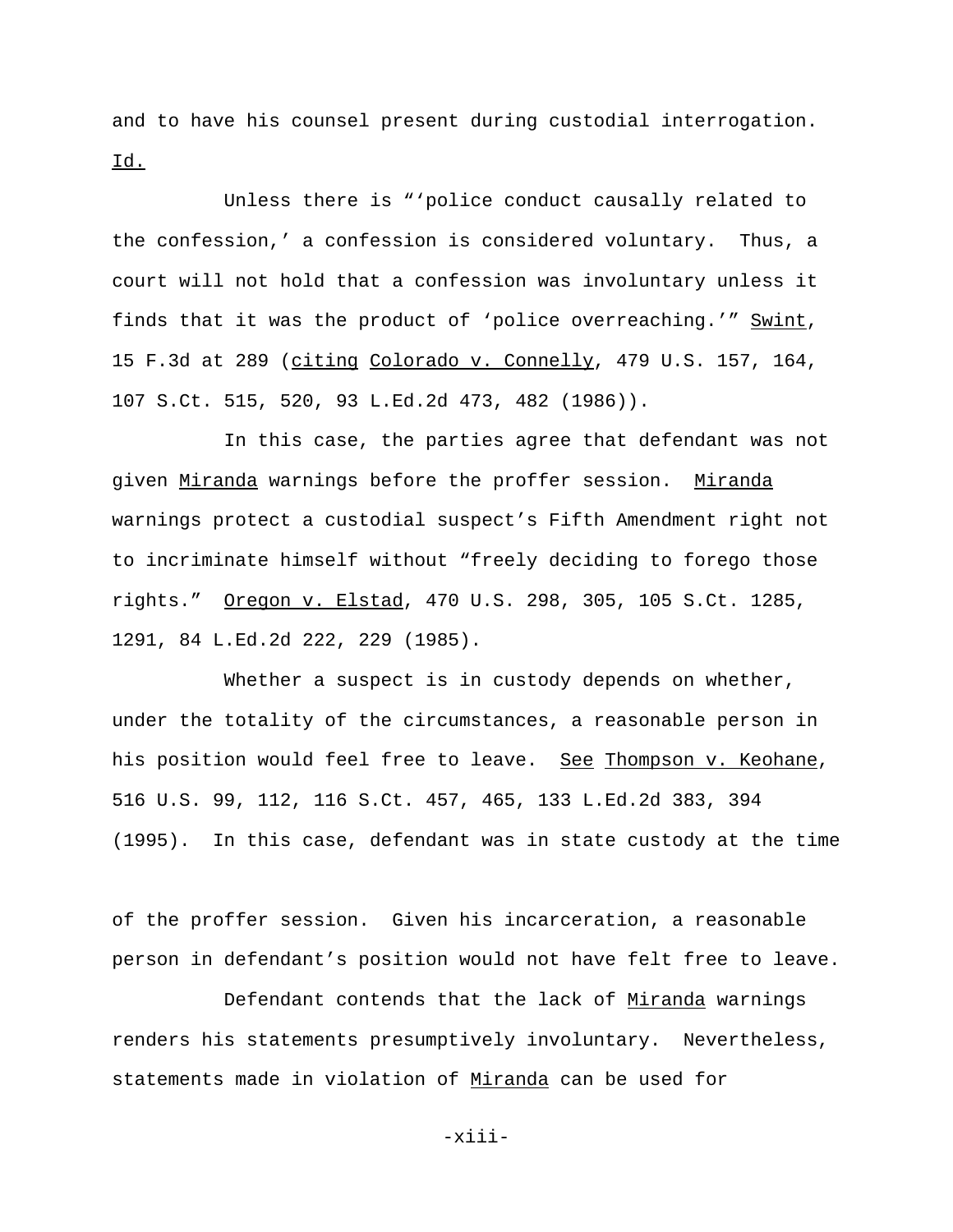and to have his counsel present during custodial interrogation. Id.

Unless there is "'police conduct causally related to the confession,' a confession is considered voluntary. Thus, a court will not hold that a confession was involuntary unless it finds that it was the product of 'police overreaching.'" Swint, 15 F.3d at 289 (citing Colorado v. Connelly, 479 U.S. 157, 164, 107 S.Ct. 515, 520, 93 L.Ed.2d 473, 482 (1986)).

In this case, the parties agree that defendant was not given Miranda warnings before the proffer session. Miranda warnings protect a custodial suspect's Fifth Amendment right not to incriminate himself without "freely deciding to forego those rights." Oregon v. Elstad, 470 U.S. 298, 305, 105 S.Ct. 1285, 1291, 84 L.Ed.2d 222, 229 (1985).

Whether a suspect is in custody depends on whether, under the totality of the circumstances, a reasonable person in his position would feel free to leave. See Thompson v. Keohane, 516 U.S. 99, 112, 116 S.Ct. 457, 465, 133 L.Ed.2d 383, 394 (1995). In this case, defendant was in state custody at the time

of the proffer session. Given his incarceration, a reasonable person in defendant's position would not have felt free to leave.

Defendant contends that the lack of Miranda warnings renders his statements presumptively involuntary. Nevertheless, statements made in violation of Miranda can be used for

-xiii-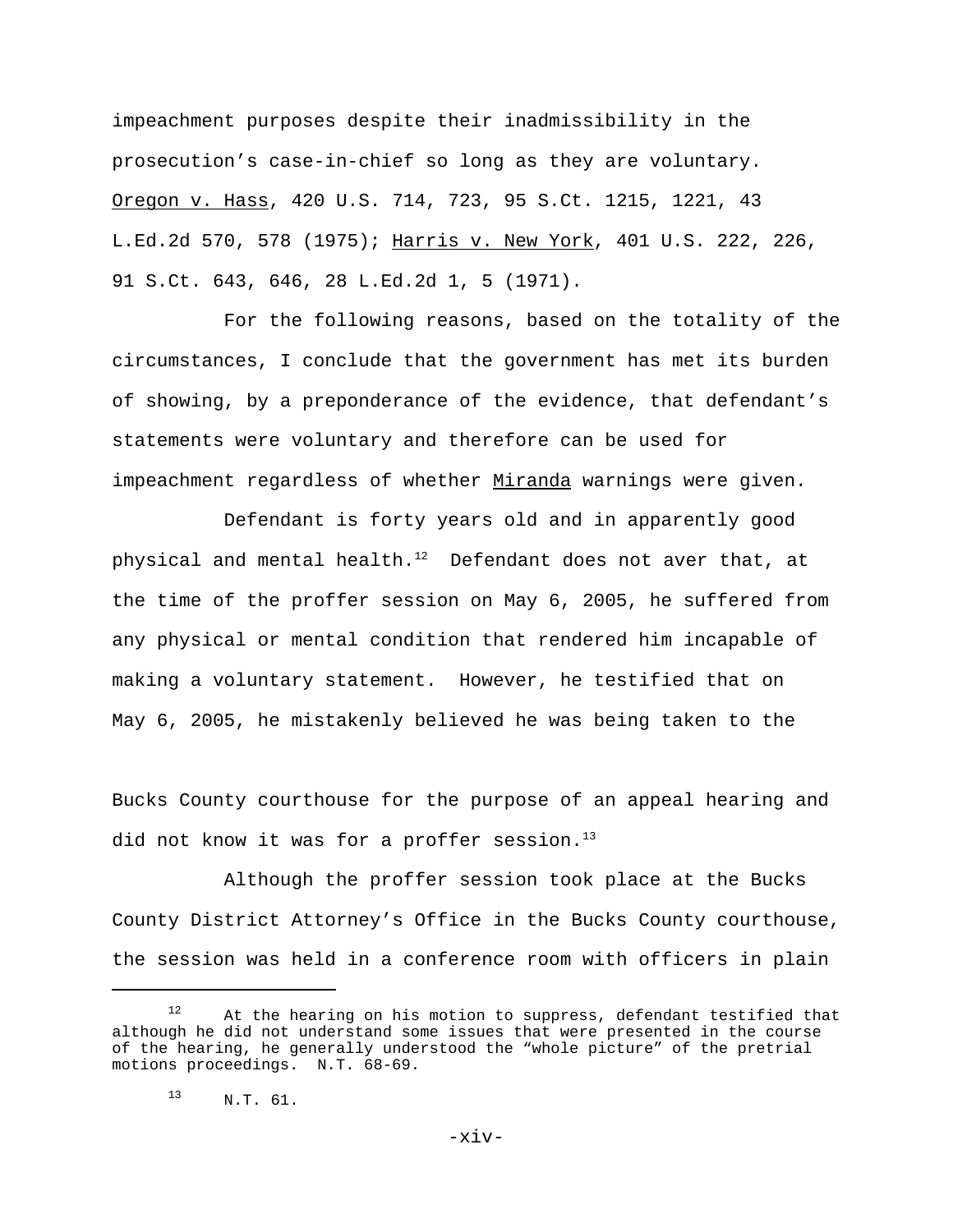impeachment purposes despite their inadmissibility in the prosecution's case-in-chief so long as they are voluntary. Oregon v. Hass, 420 U.S. 714, 723, 95 S.Ct. 1215, 1221, 43 L.Ed.2d 570, 578 (1975); Harris v. New York, 401 U.S. 222, 226, 91 S.Ct. 643, 646, 28 L.Ed.2d 1, 5 (1971).

For the following reasons, based on the totality of the circumstances, I conclude that the government has met its burden of showing, by a preponderance of the evidence, that defendant's statements were voluntary and therefore can be used for impeachment regardless of whether Miranda warnings were given.

Defendant is forty years old and in apparently good physical and mental health. $12$  Defendant does not aver that, at the time of the proffer session on May 6, 2005, he suffered from any physical or mental condition that rendered him incapable of making a voluntary statement. However, he testified that on May 6, 2005, he mistakenly believed he was being taken to the

Bucks County courthouse for the purpose of an appeal hearing and did not know it was for a proffer session.<sup>13</sup>

Although the proffer session took place at the Bucks County District Attorney's Office in the Bucks County courthouse, the session was held in a conference room with officers in plain

 $12$  At the hearing on his motion to suppress, defendant testified that although he did not understand some issues that were presented in the course of the hearing, he generally understood the "whole picture" of the pretrial motions proceedings. N.T. 68-69.

<sup>13</sup> N.T. 61.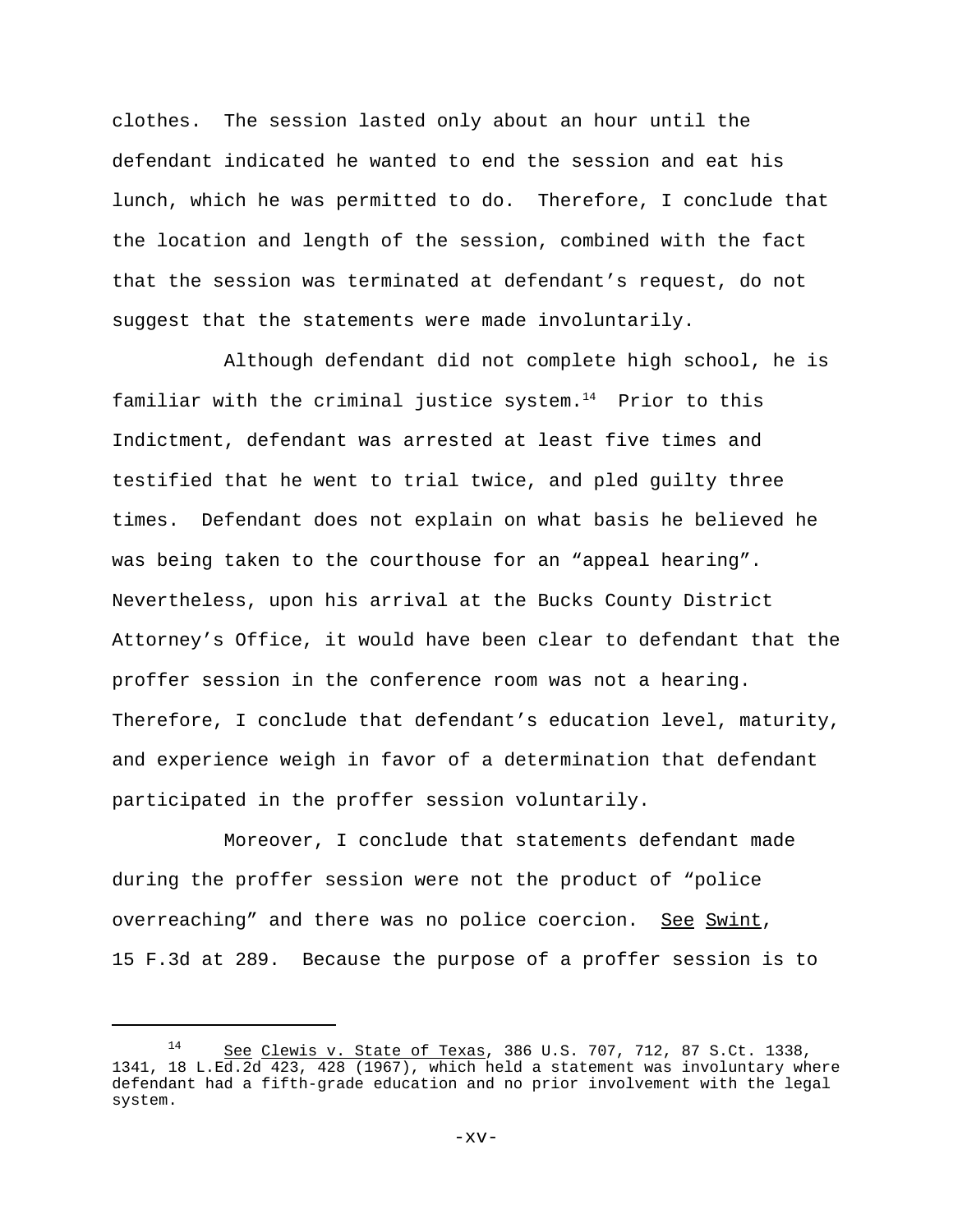clothes. The session lasted only about an hour until the defendant indicated he wanted to end the session and eat his lunch, which he was permitted to do. Therefore, I conclude that the location and length of the session, combined with the fact that the session was terminated at defendant's request, do not suggest that the statements were made involuntarily.

Although defendant did not complete high school, he is familiar with the criminal justice system. $14$  Prior to this Indictment, defendant was arrested at least five times and testified that he went to trial twice, and pled guilty three times. Defendant does not explain on what basis he believed he was being taken to the courthouse for an "appeal hearing". Nevertheless, upon his arrival at the Bucks County District Attorney's Office, it would have been clear to defendant that the proffer session in the conference room was not a hearing. Therefore, I conclude that defendant's education level, maturity, and experience weigh in favor of a determination that defendant participated in the proffer session voluntarily.

Moreover, I conclude that statements defendant made during the proffer session were not the product of "police overreaching" and there was no police coercion. See Swint, 15 F.3d at 289. Because the purpose of a proffer session is to

<sup>14</sup> See Clewis v. State of Texas, 386 U.S. 707, 712, 87 S.Ct. 1338, 1341, 18 L.Ed.2d 423, 428 (1967), which held a statement was involuntary where defendant had a fifth-grade education and no prior involvement with the legal system.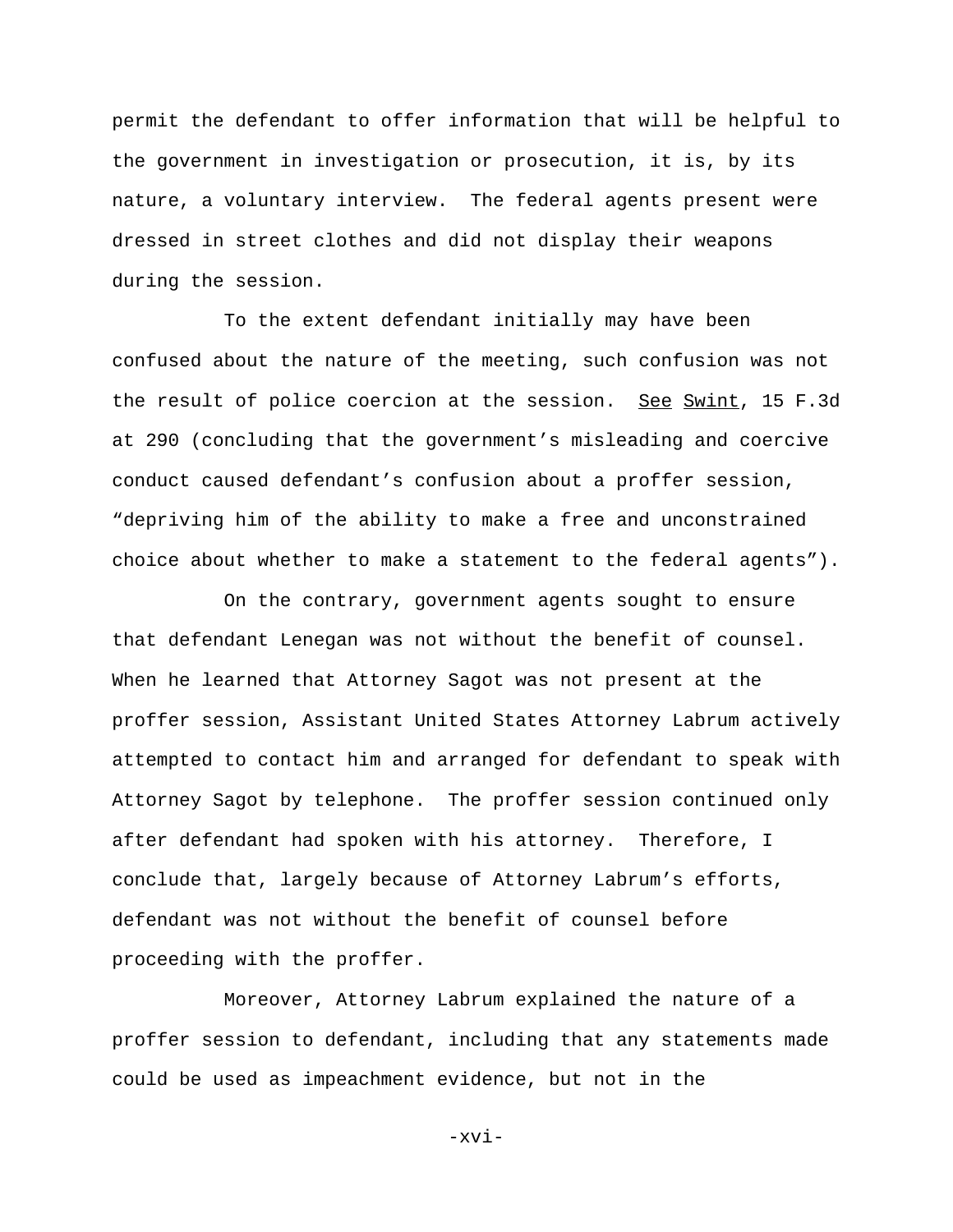permit the defendant to offer information that will be helpful to the government in investigation or prosecution, it is, by its nature, a voluntary interview. The federal agents present were dressed in street clothes and did not display their weapons during the session.

To the extent defendant initially may have been confused about the nature of the meeting, such confusion was not the result of police coercion at the session. See Swint, 15 F.3d at 290 (concluding that the government's misleading and coercive conduct caused defendant's confusion about a proffer session, "depriving him of the ability to make a free and unconstrained choice about whether to make a statement to the federal agents").

On the contrary, government agents sought to ensure that defendant Lenegan was not without the benefit of counsel. When he learned that Attorney Sagot was not present at the proffer session, Assistant United States Attorney Labrum actively attempted to contact him and arranged for defendant to speak with Attorney Sagot by telephone. The proffer session continued only after defendant had spoken with his attorney. Therefore, I conclude that, largely because of Attorney Labrum's efforts, defendant was not without the benefit of counsel before proceeding with the proffer.

Moreover, Attorney Labrum explained the nature of a proffer session to defendant, including that any statements made could be used as impeachment evidence, but not in the

-xvi-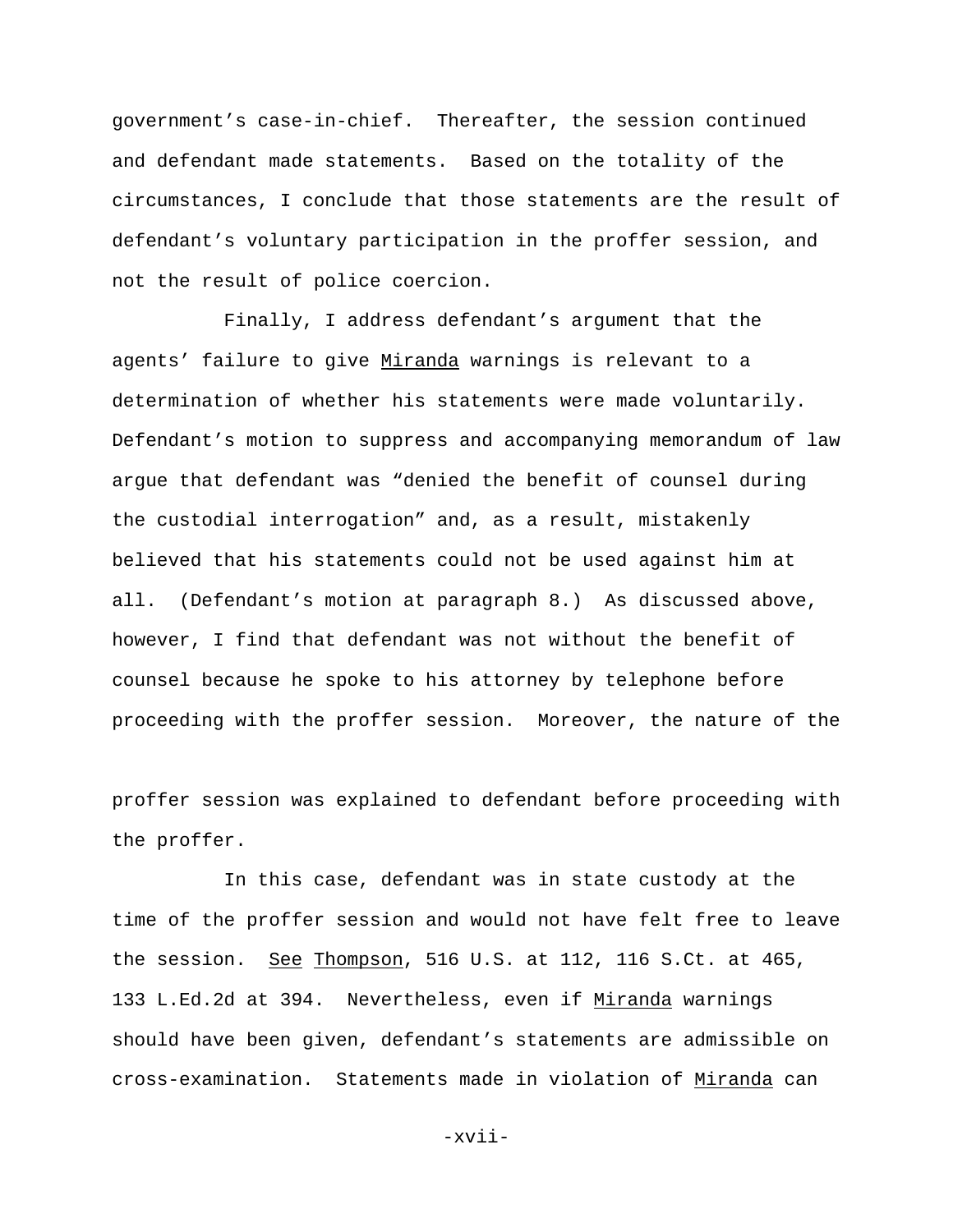government's case-in-chief. Thereafter, the session continued and defendant made statements. Based on the totality of the circumstances, I conclude that those statements are the result of defendant's voluntary participation in the proffer session, and not the result of police coercion.

Finally, I address defendant's argument that the agents' failure to give Miranda warnings is relevant to a determination of whether his statements were made voluntarily. Defendant's motion to suppress and accompanying memorandum of law argue that defendant was "denied the benefit of counsel during the custodial interrogation" and, as a result, mistakenly believed that his statements could not be used against him at all. (Defendant's motion at paragraph 8.) As discussed above, however, I find that defendant was not without the benefit of counsel because he spoke to his attorney by telephone before proceeding with the proffer session. Moreover, the nature of the

proffer session was explained to defendant before proceeding with the proffer.

In this case, defendant was in state custody at the time of the proffer session and would not have felt free to leave the session. See Thompson, 516 U.S. at 112, 116 S.Ct. at 465, 133 L.Ed.2d at 394. Nevertheless, even if Miranda warnings should have been given, defendant's statements are admissible on cross-examination. Statements made in violation of Miranda can

-xvii-